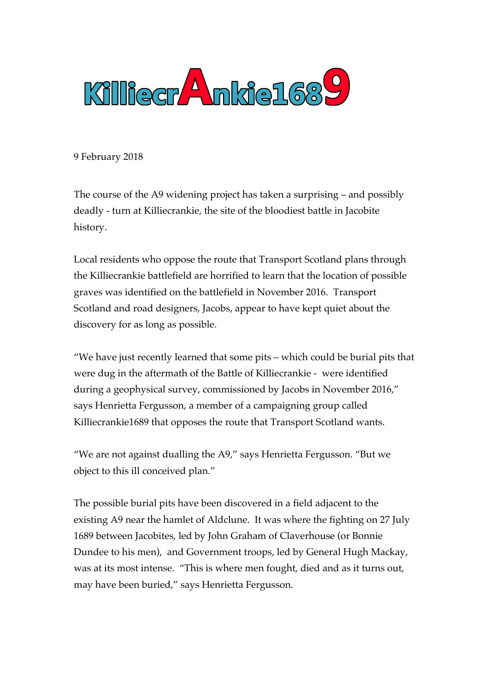

9 February 2018

The course of the A9 widening project has taken a surprising – and possibly deadly - turn at Killiecrankie, the site of the bloodiest battle in Jacobite history.

Local residents who oppose the route that Transport Scotland plans through the Killiecrankie battlefield are horrified to learn that the location of possible graves was identified on the battlefield in November 2016. Transport Scotland and road designers, Jacobs, appear to have kept quiet about the discovery for as long as possible.

"We have just recently learned that some pits – which could be burial pits that were dug in the aftermath of the Battle of Killiecrankie - were identified during a geophysical survey, commissioned by Jacobs in November 2016," says Henrietta Fergusson, a member of a campaigning group called Killiecrankie1689 that opposes the route that Transport Scotland wants.

"We are not against dualling the A9," says Henrietta Fergusson. "But we object to this ill conceived plan."

The possible burial pits have been discovered in a field adjacent to the existing A9 near the hamlet of Aldclune. It was where the fighting on 27 July 1689 between Jacobites, led by John Graham of Claverhouse (or Bonnie Dundee to his men), and Government troops, led by General Hugh Mackay, was at its most intense. "This is where men fought, died and as it turns out, may have been buried," says Henrietta Fergusson.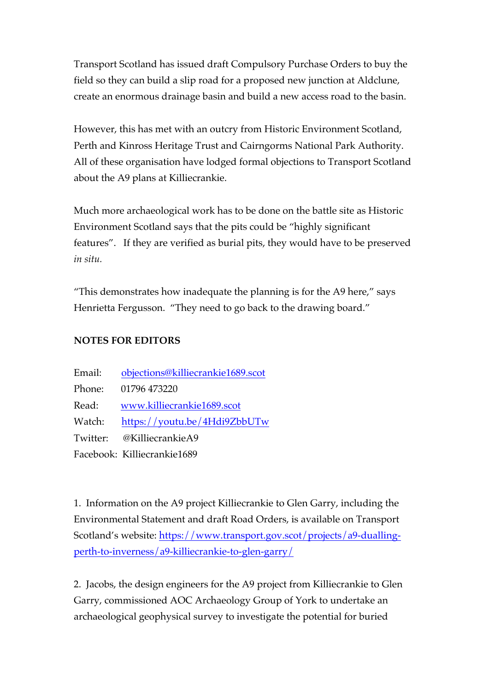Transport Scotland has issued draft Compulsory Purchase Orders to buy the field so they can build a slip road for a proposed new junction at Aldclune, create an enormous drainage basin and build a new access road to the basin.

However, this has met with an outcry from Historic Environment Scotland, Perth and Kinross Heritage Trust and Cairngorms National Park Authority. All of these organisation have lodged formal objections to Transport Scotland about the A9 plans at Killiecrankie.

Much more archaeological work has to be done on the battle site as Historic Environment Scotland says that the pits could be "highly significant features". If they are verified as burial pits, they would have to be preserved *in situ.*

"This demonstrates how inadequate the planning is for the A9 here," says Henrietta Fergusson. "They need to go back to the drawing board."

## **NOTES FOR EDITORS**

| Email:   | objections@killiecrankie1689.scot |
|----------|-----------------------------------|
| Phone:   | 01796 473220                      |
| Read:    | www.killiecrankie1689.scot        |
| Watch:   | https://youtu.be/4Hdi9ZbbUTw      |
| Twitter: | @KilliecrankieA9                  |
|          | Facebook: Killiecrankie1689       |

1. Information on the A9 project Killiecrankie to Glen Garry, including the Environmental Statement and draft Road Orders, is available on Transport Scotland's website: https://www.transport.gov.scot/projects/a9-duallingperth-to-inverness/a9-killiecrankie-to-glen-garry/

2. Jacobs, the design engineers for the A9 project from Killiecrankie to Glen Garry, commissioned AOC Archaeology Group of York to undertake an archaeological geophysical survey to investigate the potential for buried